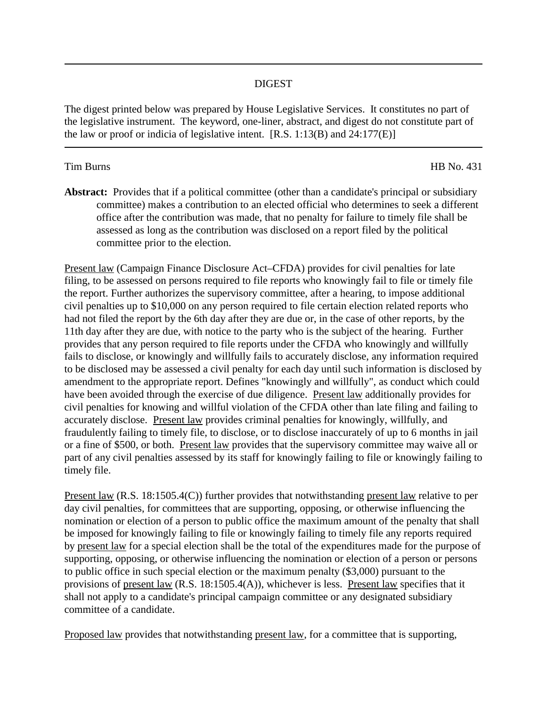## DIGEST

The digest printed below was prepared by House Legislative Services. It constitutes no part of the legislative instrument. The keyword, one-liner, abstract, and digest do not constitute part of the law or proof or indicia of legislative intent.  $[R.S. 1:13(B)$  and  $24:177(E)$ 

## Tim Burns HB No. 431

**Abstract:** Provides that if a political committee (other than a candidate's principal or subsidiary committee) makes a contribution to an elected official who determines to seek a different office after the contribution was made, that no penalty for failure to timely file shall be assessed as long as the contribution was disclosed on a report filed by the political committee prior to the election.

Present law (Campaign Finance Disclosure Act–CFDA) provides for civil penalties for late filing, to be assessed on persons required to file reports who knowingly fail to file or timely file the report. Further authorizes the supervisory committee, after a hearing, to impose additional civil penalties up to \$10,000 on any person required to file certain election related reports who had not filed the report by the 6th day after they are due or, in the case of other reports, by the 11th day after they are due, with notice to the party who is the subject of the hearing. Further provides that any person required to file reports under the CFDA who knowingly and willfully fails to disclose, or knowingly and willfully fails to accurately disclose, any information required to be disclosed may be assessed a civil penalty for each day until such information is disclosed by amendment to the appropriate report. Defines "knowingly and willfully", as conduct which could have been avoided through the exercise of due diligence. Present law additionally provides for civil penalties for knowing and willful violation of the CFDA other than late filing and failing to accurately disclose. Present law provides criminal penalties for knowingly, willfully, and fraudulently failing to timely file, to disclose, or to disclose inaccurately of up to 6 months in jail or a fine of \$500, or both. Present law provides that the supervisory committee may waive all or part of any civil penalties assessed by its staff for knowingly failing to file or knowingly failing to timely file.

Present law (R.S. 18:1505.4(C)) further provides that notwithstanding present law relative to per day civil penalties, for committees that are supporting, opposing, or otherwise influencing the nomination or election of a person to public office the maximum amount of the penalty that shall be imposed for knowingly failing to file or knowingly failing to timely file any reports required by present law for a special election shall be the total of the expenditures made for the purpose of supporting, opposing, or otherwise influencing the nomination or election of a person or persons to public office in such special election or the maximum penalty (\$3,000) pursuant to the provisions of present law (R.S. 18:1505.4(A)), whichever is less. Present law specifies that it shall not apply to a candidate's principal campaign committee or any designated subsidiary committee of a candidate.

Proposed law provides that notwithstanding present law, for a committee that is supporting,